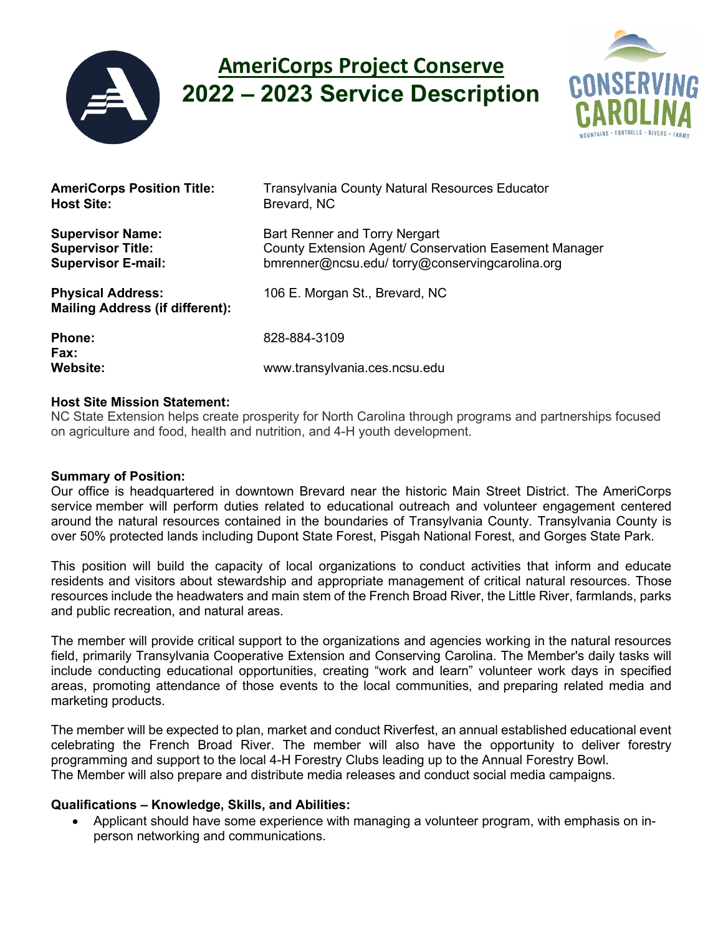

# **AmeriCorps Project Conserve 2022 – 2023 Service Description**



| <b>AmeriCorps Position Title:</b>                                  | <b>Transylvania County Natural Resources Educator</b> |
|--------------------------------------------------------------------|-------------------------------------------------------|
| <b>Host Site:</b>                                                  | Brevard, NC                                           |
| <b>Supervisor Name:</b>                                            | Bart Renner and Torry Nergart                         |
| <b>Supervisor Title:</b>                                           | County Extension Agent/ Conservation Easement Manager |
| <b>Supervisor E-mail:</b>                                          | bmrenner@ncsu.edu/torry@conservingcarolina.org        |
| <b>Physical Address:</b><br><b>Mailing Address (if different):</b> | 106 E. Morgan St., Brevard, NC                        |
| <b>Phone:</b><br>Fax:<br><b>Website:</b>                           | 828-884-3109<br>www.transylvania.ces.ncsu.edu         |

### **Host Site Mission Statement:**

NC State Extension helps create prosperity for North Carolina through programs and partnerships focused on agriculture and food, health and nutrition, and 4-H youth development.

#### **Summary of Position:**

Our office is headquartered in downtown Brevard near the historic Main Street District. The AmeriCorps service member will perform duties related to educational outreach and volunteer engagement centered around the natural resources contained in the boundaries of Transylvania County. Transylvania County is over 50% protected lands including Dupont State Forest, Pisgah National Forest, and Gorges State Park.

This position will build the capacity of local organizations to conduct activities that inform and educate residents and visitors about stewardship and appropriate management of critical natural resources. Those resources include the headwaters and main stem of the French Broad River, the Little River, farmlands, parks and public recreation, and natural areas.

The member will provide critical support to the organizations and agencies working in the natural resources field, primarily Transylvania Cooperative Extension and Conserving Carolina. The Member's daily tasks will include conducting educational opportunities, creating "work and learn" volunteer work days in specified areas, promoting attendance of those events to the local communities, and preparing related media and marketing products.

The member will be expected to plan, market and conduct Riverfest, an annual established educational event celebrating the French Broad River. The member will also have the opportunity to deliver forestry programming and support to the local 4-H Forestry Clubs leading up to the Annual Forestry Bowl. The Member will also prepare and distribute media releases and conduct social media campaigns.

# **Qualifications – Knowledge, Skills, and Abilities:**

• Applicant should have some experience with managing a volunteer program, with emphasis on inperson networking and communications.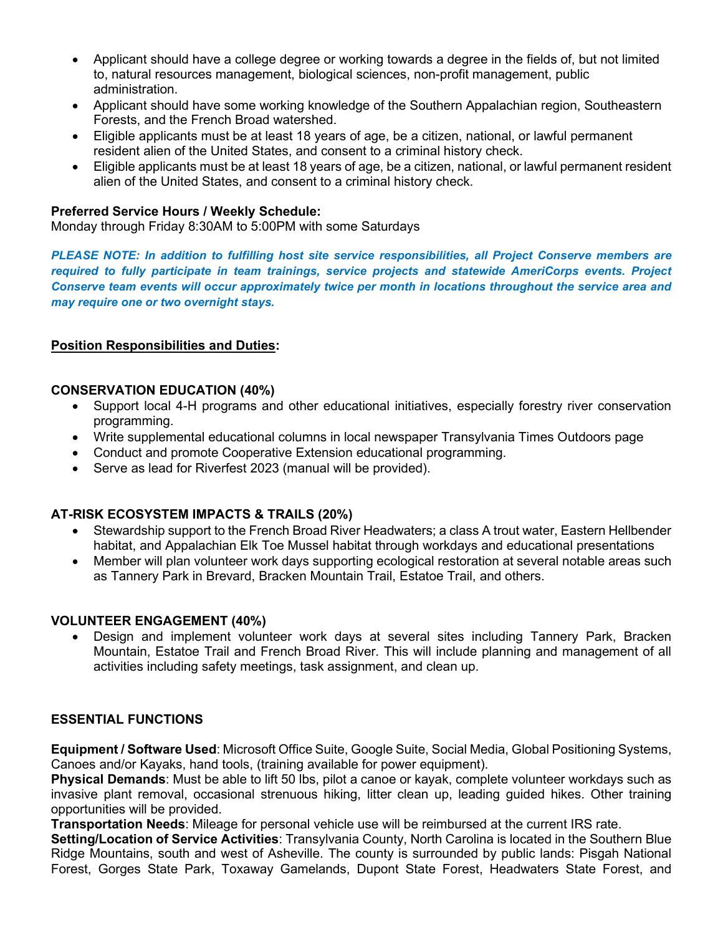- Applicant should have a college degree or working towards a degree in the fields of, but not limited to, natural resources management, biological sciences, non-profit management, public administration.
- Applicant should have some working knowledge of the Southern Appalachian region, Southeastern Forests, and the French Broad watershed.
- Eligible applicants must be at least 18 years of age, be a citizen, national, or lawful permanent resident alien of the United States, and consent to a criminal history check.
- Eligible applicants must be at least 18 years of age, be a citizen, national, or lawful permanent resident alien of the United States, and consent to a criminal history check.

## **Preferred Service Hours / Weekly Schedule:**

Monday through Friday 8:30AM to 5:00PM with some Saturdays

*PLEASE NOTE: In addition to fulfilling host site service responsibilities, all Project Conserve members are required to fully participate in team trainings, service projects and statewide AmeriCorps events. Project Conserve team events will occur approximately twice per month in locations throughout the service area and may require one or two overnight stays.*

# **Position Responsibilities and Duties:**

### **CONSERVATION EDUCATION (40%)**

- Support local 4-H programs and other educational initiatives, especially forestry river conservation programming.
- Write supplemental educational columns in local newspaper Transylvania Times Outdoors page
- Conduct and promote Cooperative Extension educational programming.
- Serve as lead for Riverfest 2023 (manual will be provided).

# **AT-RISK ECOSYSTEM IMPACTS & TRAILS (20%)**

- Stewardship support to the French Broad River Headwaters; a class A trout water, Eastern Hellbender habitat, and Appalachian Elk Toe Mussel habitat through workdays and educational presentations
- Member will plan volunteer work days supporting ecological restoration at several notable areas such as Tannery Park in Brevard, Bracken Mountain Trail, Estatoe Trail, and others.

#### **VOLUNTEER ENGAGEMENT (40%)**

• Design and implement volunteer work days at several sites including Tannery Park, Bracken Mountain, Estatoe Trail and French Broad River. This will include planning and management of all activities including safety meetings, task assignment, and clean up.

#### **ESSENTIAL FUNCTIONS**

**Equipment / Software Used**: Microsoft Office Suite, Google Suite, Social Media, Global Positioning Systems, Canoes and/or Kayaks, hand tools, (training available for power equipment).

**Physical Demands**: Must be able to lift 50 lbs, pilot a canoe or kayak, complete volunteer workdays such as invasive plant removal, occasional strenuous hiking, litter clean up, leading guided hikes. Other training opportunities will be provided.

**Transportation Needs**: Mileage for personal vehicle use will be reimbursed at the current IRS rate.

**Setting/Location of Service Activities**: Transylvania County, North Carolina is located in the Southern Blue Ridge Mountains, south and west of Asheville. The county is surrounded by public lands: Pisgah National Forest, Gorges State Park, Toxaway Gamelands, Dupont State Forest, Headwaters State Forest, and